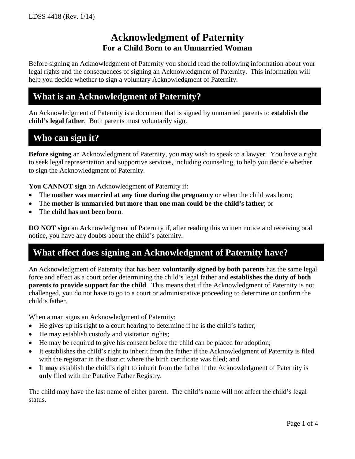## **Acknowledgment of Paternity For a Child Born to an Unmarried Woman**

Before signing an Acknowledgment of Paternity you should read the following information about your legal rights and the consequences of signing an Acknowledgment of Paternity. This information will help you decide whether to sign a voluntary Acknowledgment of Paternity.

### **What is an Acknowledgment of Paternity?**

An Acknowledgment of Paternity is a document that is signed by unmarried parents to **establish the child's legal father**. Both parents must voluntarily sign.

## **Who can sign it?**

**Before signing** an Acknowledgment of Paternity, you may wish to speak to a lawyer. You have a right to seek legal representation and supportive services, including counseling, to help you decide whether to sign the Acknowledgment of Paternity.

**You CANNOT sign** an Acknowledgment of Paternity if:

- The **mother was married at any time during the pregnancy** or when the child was born;
- The **mother is unmarried but more than one man could be the child's father**; or
- The **child has not been born**.

**DO NOT sign** an Acknowledgment of Paternity if, after reading this written notice and receiving oral notice, you have any doubts about the child's paternity.

# **What effect does signing an Acknowledgment of Paternity have?**

An Acknowledgment of Paternity that has been **voluntarily signed by both parents** has the same legal force and effect as a court order determining the child's legal father and **establishes the duty of both parents to provide support for the child**. This means that if the Acknowledgment of Paternity is not challenged, you do not have to go to a court or administrative proceeding to determine or confirm the child's father.

When a man signs an Acknowledgment of Paternity:

- He gives up his right to a court hearing to determine if he is the child's father;
- He may establish custody and visitation rights;
- He may be required to give his consent before the child can be placed for adoption;
- It establishes the child's right to inherit from the father if the Acknowledgment of Paternity is filed with the registrar in the district where the birth certificate was filed; and
- It **may** establish the child's right to inherit from the father if the Acknowledgment of Paternity is **only** filed with the Putative Father Registry.

The child may have the last name of either parent. The child's name will not affect the child's legal status.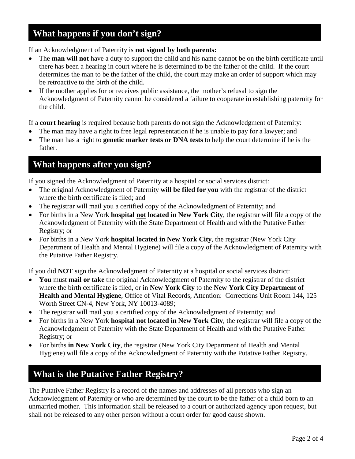# **What happens if you don't sign?**

If an Acknowledgment of Paternity is **not signed by both parents:**

- The **man will not** have a duty to support the child and his name cannot be on the birth certificate until there has been a hearing in court where he is determined to be the father of the child. If the court determines the man to be the father of the child, the court may make an order of support which may be retroactive to the birth of the child.
- If the mother applies for or receives public assistance, the mother's refusal to sign the Acknowledgment of Paternity cannot be considered a failure to cooperate in establishing paternity for the child.

If a **court hearing** is required because both parents do not sign the Acknowledgment of Paternity:

- The man may have a right to free legal representation if he is unable to pay for a lawyer; and
- The man has a right to **genetic marker tests or DNA tests** to help the court determine if he is the father.

## **What happens after you sign?**

If you signed the Acknowledgment of Paternity at a hospital or social services district:

- The original Acknowledgment of Paternity **will be filed for you** with the registrar of the district where the birth certificate is filed; and
- The registrar will mail you a certified copy of the Acknowledgment of Paternity; and
- For births in a New York **hospital not located in New York City**, the registrar will file a copy of the Acknowledgment of Paternity with the State Department of Health and with the Putative Father Registry; or
- For births in a New York **hospital located in New York City**, the registrar (New York City Department of Health and Mental Hygiene) will file a copy of the Acknowledgment of Paternity with the Putative Father Registry.

If you did **NOT** sign the Acknowledgment of Paternity at a hospital or social services district:

- **You** must **mail or take** the original Acknowledgment of Paternity to the registrar of the district where the birth certificate is filed, or in **New York City** to the **New York City Department of Health and Mental Hygiene**, Office of Vital Records, Attention: Corrections Unit Room 144, 125 Worth Street CN-4, New York, NY 10013-4089;
- The registrar will mail you a certified copy of the Acknowledgment of Paternity; and
- For births in a New York **hospital not located in New York City**, the registrar will file a copy of the Acknowledgment of Paternity with the State Department of Health and with the Putative Father Registry; or
- For births **in New York City**, the registrar (New York City Department of Health and Mental Hygiene) will file a copy of the Acknowledgment of Paternity with the Putative Father Registry.

# **What is the Putative Father Registry?**

The Putative Father Registry is a record of the names and addresses of all persons who sign an Acknowledgment of Paternity or who are determined by the court to be the father of a child born to an unmarried mother. This information shall be released to a court or authorized agency upon request, but shall not be released to any other person without a court order for good cause shown.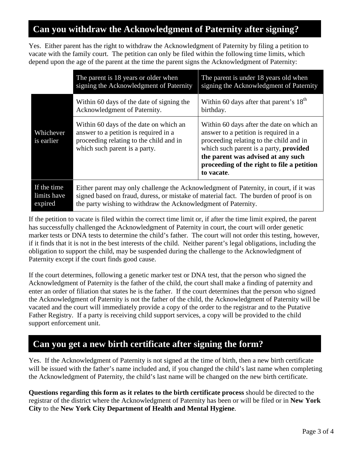# **Can you withdraw the Acknowledgment of Paternity after signing?**

Yes. Either parent has the right to withdraw the Acknowledgment of Paternity by filing a petition to vacate with the family court. The petition can only be filed within the following time limits, which depend upon the age of the parent at the time the parent signs the Acknowledgment of Paternity:

|                                       | The parent is 18 years or older when<br>signing the Acknowledgment of Paternity                                                                                                                                                                  | The parent is under 18 years old when<br>signing the Acknowledgment of Paternity                                                                                                                                                                                                 |  |  |  |  |
|---------------------------------------|--------------------------------------------------------------------------------------------------------------------------------------------------------------------------------------------------------------------------------------------------|----------------------------------------------------------------------------------------------------------------------------------------------------------------------------------------------------------------------------------------------------------------------------------|--|--|--|--|
|                                       | Within 60 days of the date of signing the<br>Acknowledgment of Paternity.                                                                                                                                                                        | Within 60 days after that parent's $18th$<br>birthday.                                                                                                                                                                                                                           |  |  |  |  |
| Whichever<br>is earlier               | Within 60 days of the date on which an<br>answer to a petition is required in a<br>proceeding relating to the child and in<br>which such parent is a party.                                                                                      | Within 60 days after the date on which an<br>answer to a petition is required in a<br>proceeding relating to the child and in<br>which such parent is a party, <b>provided</b><br>the parent was advised at any such<br>proceeding of the right to file a petition<br>to vacate. |  |  |  |  |
| If the time<br>limits have<br>expired | Either parent may only challenge the Acknowledgment of Paternity, in court, if it was<br>signed based on fraud, duress, or mistake of material fact. The burden of proof is on<br>the party wishing to withdraw the Acknowledgment of Paternity. |                                                                                                                                                                                                                                                                                  |  |  |  |  |

If the petition to vacate is filed within the correct time limit or, if after the time limit expired, the parent has successfully challenged the Acknowledgment of Paternity in court, the court will order genetic marker tests or DNA tests to determine the child's father. The court will not order this testing, however, if it finds that it is not in the best interests of the child. Neither parent's legal obligations, including the obligation to support the child, may be suspended during the challenge to the Acknowledgment of Paternity except if the court finds good cause.

If the court determines, following a genetic marker test or DNA test, that the person who signed the Acknowledgment of Paternity is the father of the child, the court shall make a finding of paternity and enter an order of filiation that states he is the father. If the court determines that the person who signed the Acknowledgment of Paternity is not the father of the child, the Acknowledgment of Paternity will be vacated and the court will immediately provide a copy of the order to the registrar and to the Putative Father Registry. If a party is receiving child support services, a copy will be provided to the child support enforcement unit.

# **Can you get a new birth certificate after signing the form?**

Yes. If the Acknowledgment of Paternity is not signed at the time of birth, then a new birth certificate will be issued with the father's name included and, if you changed the child's last name when completing the Acknowledgment of Paternity, the child's last name will be changed on the new birth certificate.

**Questions regarding this form as it relates to the birth certificate process** should be directed to the registrar of the district where the Acknowledgment of Paternity has been or will be filed or in **New York City** to the **New York City Department of Health and Mental Hygiene**.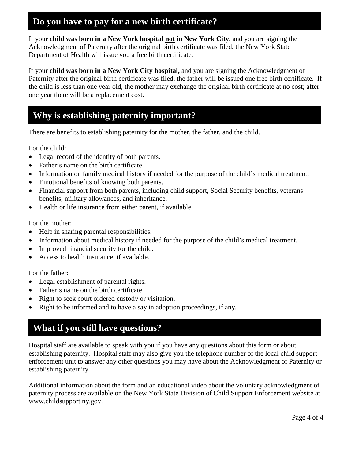# **Do you have to pay for a new birth certificate?**

If your **child was born in a New York hospital not in New York City**, and you are signing the Acknowledgment of Paternity after the original birth certificate was filed, the New York State Department of Health will issue you a free birth certificate.

If your **child was born in a New York City hospital,** and you are signing the Acknowledgment of Paternity after the original birth certificate was filed, the father will be issued one free birth certificate. If the child is less than one year old, the mother may exchange the original birth certificate at no cost; after one year there will be a replacement cost.

## **Why is establishing paternity important?**

There are benefits to establishing paternity for the mother, the father, and the child.

For the child:

- Legal record of the identity of both parents.
- Father's name on the birth certificate.
- Information on family medical history if needed for the purpose of the child's medical treatment.
- Emotional benefits of knowing both parents.
- Financial support from both parents, including child support, Social Security benefits, veterans benefits, military allowances, and inheritance.
- Health or life insurance from either parent, if available.

For the mother:

- Help in sharing parental responsibilities.
- Information about medical history if needed for the purpose of the child's medical treatment.
- Improved financial security for the child.
- Access to health insurance, if available.

For the father:

- Legal establishment of parental rights.
- Father's name on the birth certificate.
- Right to seek court ordered custody or visitation.
- Right to be informed and to have a say in adoption proceedings, if any.

# **What if you still have questions?**

Hospital staff are available to speak with you if you have any questions about this form or about establishing paternity. Hospital staff may also give you the telephone number of the local child support enforcement unit to answer any other questions you may have about the Acknowledgment of Paternity or establishing paternity.

Additional information about the form and an educational video about the voluntary acknowledgment of paternity process are available on the New York State Division of Child Support Enforcement website at [www.childsupport.ny.gov.](http://www.childsupport.ny.gov/)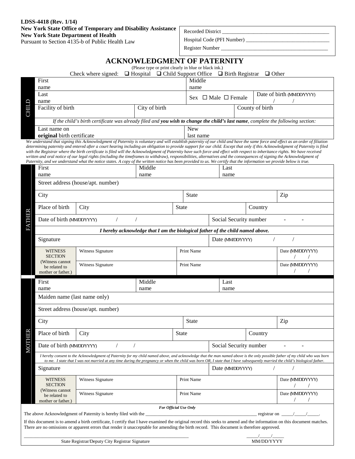#### **LDSS-4418 (Rev. 1/14) New York State Office of Temporary and Disability Assistance New York State Department of Health**

Pursuant to Section 4135-b of Public Health Law

Recorded District

Hospital Code (PFI Number) \_\_\_\_\_\_\_\_\_\_\_\_\_\_\_\_\_\_\_\_\_\_\_\_\_\_\_\_\_\_\_\_

Register Number \_\_\_\_\_\_\_\_\_\_\_\_\_\_\_\_\_\_\_\_\_\_\_\_\_\_\_\_\_\_\_\_\_\_\_\_\_\_\_\_\_

|                                                                                                                                                                                                                                                          |                                                                                                                                                                                                                                                                                                                                                              |                                                                                                                                                                                                                                                                                                                                                                                                                                                                                                                                             | <b>ACKNOWLEDGMENT OF PATERNITY</b>                                                                                         |              |                                                                                                                                                                              |                 |                        |              |                          |  |
|----------------------------------------------------------------------------------------------------------------------------------------------------------------------------------------------------------------------------------------------------------|--------------------------------------------------------------------------------------------------------------------------------------------------------------------------------------------------------------------------------------------------------------------------------------------------------------------------------------------------------------|---------------------------------------------------------------------------------------------------------------------------------------------------------------------------------------------------------------------------------------------------------------------------------------------------------------------------------------------------------------------------------------------------------------------------------------------------------------------------------------------------------------------------------------------|----------------------------------------------------------------------------------------------------------------------------|--------------|------------------------------------------------------------------------------------------------------------------------------------------------------------------------------|-----------------|------------------------|--------------|--------------------------|--|
|                                                                                                                                                                                                                                                          |                                                                                                                                                                                                                                                                                                                                                              | Check where signed:                                                                                                                                                                                                                                                                                                                                                                                                                                                                                                                         | (Please type or print clearly in blue or black ink.)<br>$\Box$ Hospital $\Box$ Child Support Office $\Box$ Birth Registrar |              |                                                                                                                                                                              |                 |                        | $\Box$ Other |                          |  |
|                                                                                                                                                                                                                                                          | First                                                                                                                                                                                                                                                                                                                                                        |                                                                                                                                                                                                                                                                                                                                                                                                                                                                                                                                             |                                                                                                                            |              |                                                                                                                                                                              |                 |                        |              |                          |  |
|                                                                                                                                                                                                                                                          | name                                                                                                                                                                                                                                                                                                                                                         |                                                                                                                                                                                                                                                                                                                                                                                                                                                                                                                                             |                                                                                                                            |              | name                                                                                                                                                                         |                 |                        |              |                          |  |
|                                                                                                                                                                                                                                                          | Last                                                                                                                                                                                                                                                                                                                                                         |                                                                                                                                                                                                                                                                                                                                                                                                                                                                                                                                             |                                                                                                                            |              | Sex $\Box$ Male $\Box$ Female                                                                                                                                                |                 |                        |              | Date of birth (MMDDYYYY) |  |
|                                                                                                                                                                                                                                                          | name                                                                                                                                                                                                                                                                                                                                                         |                                                                                                                                                                                                                                                                                                                                                                                                                                                                                                                                             |                                                                                                                            |              |                                                                                                                                                                              |                 |                        |              |                          |  |
| <b>CHILD</b>                                                                                                                                                                                                                                             | City of birth<br>Facility of birth                                                                                                                                                                                                                                                                                                                           |                                                                                                                                                                                                                                                                                                                                                                                                                                                                                                                                             |                                                                                                                            |              |                                                                                                                                                                              | County of birth |                        |              |                          |  |
|                                                                                                                                                                                                                                                          | If the child's birth certificate was already filed and you wish to change the child's last name, complete the following section:                                                                                                                                                                                                                             |                                                                                                                                                                                                                                                                                                                                                                                                                                                                                                                                             |                                                                                                                            |              |                                                                                                                                                                              |                 |                        |              |                          |  |
|                                                                                                                                                                                                                                                          | Last name on                                                                                                                                                                                                                                                                                                                                                 |                                                                                                                                                                                                                                                                                                                                                                                                                                                                                                                                             |                                                                                                                            |              | <b>New</b>                                                                                                                                                                   |                 |                        |              |                          |  |
|                                                                                                                                                                                                                                                          | original birth certificate                                                                                                                                                                                                                                                                                                                                   | We understand that signing this Acknowledgment of Paternity is voluntary and will establish paternity of our child and have the same force and effect as an order of filiation                                                                                                                                                                                                                                                                                                                                                              |                                                                                                                            |              | last name                                                                                                                                                                    |                 |                        |              |                          |  |
|                                                                                                                                                                                                                                                          |                                                                                                                                                                                                                                                                                                                                                              | determining paternity and entered after a court hearing including an obligation to provide support for our child. Except that only if this Acknowledgment of Paternity is filed<br>with the Registrar where the birth certificate is filed will the Acknowledgment of Paternity have such force and effect with respect to inheritance rights. We have received<br>written and oral notice of our legal rights (including the timeframes to withdraw), responsibilities, alternatives and the consequences of signing the Acknowledgment of |                                                                                                                            |              |                                                                                                                                                                              |                 |                        |              |                          |  |
|                                                                                                                                                                                                                                                          | First                                                                                                                                                                                                                                                                                                                                                        |                                                                                                                                                                                                                                                                                                                                                                                                                                                                                                                                             | Middle                                                                                                                     |              | Paternity, and we understand what the notice states. A copy of the written notice has been provided to us. We certify that the information we provide below is true.<br>Last |                 |                        |              |                          |  |
|                                                                                                                                                                                                                                                          | name                                                                                                                                                                                                                                                                                                                                                         |                                                                                                                                                                                                                                                                                                                                                                                                                                                                                                                                             | name                                                                                                                       |              |                                                                                                                                                                              |                 | name                   |              |                          |  |
|                                                                                                                                                                                                                                                          |                                                                                                                                                                                                                                                                                                                                                              | Street address (house/apt. number)                                                                                                                                                                                                                                                                                                                                                                                                                                                                                                          |                                                                                                                            |              |                                                                                                                                                                              |                 |                        |              |                          |  |
|                                                                                                                                                                                                                                                          |                                                                                                                                                                                                                                                                                                                                                              |                                                                                                                                                                                                                                                                                                                                                                                                                                                                                                                                             |                                                                                                                            |              |                                                                                                                                                                              |                 |                        |              |                          |  |
|                                                                                                                                                                                                                                                          |                                                                                                                                                                                                                                                                                                                                                              | City                                                                                                                                                                                                                                                                                                                                                                                                                                                                                                                                        |                                                                                                                            |              | <b>State</b>                                                                                                                                                                 |                 |                        |              | Zip                      |  |
|                                                                                                                                                                                                                                                          | Place of birth                                                                                                                                                                                                                                                                                                                                               | City                                                                                                                                                                                                                                                                                                                                                                                                                                                                                                                                        |                                                                                                                            | <b>State</b> |                                                                                                                                                                              |                 |                        | Country      |                          |  |
| <b>FATHER</b>                                                                                                                                                                                                                                            | Date of birth (MMDDYYYY)                                                                                                                                                                                                                                                                                                                                     |                                                                                                                                                                                                                                                                                                                                                                                                                                                                                                                                             |                                                                                                                            |              |                                                                                                                                                                              |                 | Social Security number |              |                          |  |
|                                                                                                                                                                                                                                                          |                                                                                                                                                                                                                                                                                                                                                              |                                                                                                                                                                                                                                                                                                                                                                                                                                                                                                                                             | I hereby acknowledge that I am the biological father of the child named above.                                             |              |                                                                                                                                                                              |                 |                        |              |                          |  |
|                                                                                                                                                                                                                                                          | Signature<br>Date (MMDDYYYY)                                                                                                                                                                                                                                                                                                                                 |                                                                                                                                                                                                                                                                                                                                                                                                                                                                                                                                             |                                                                                                                            |              |                                                                                                                                                                              |                 |                        |              |                          |  |
|                                                                                                                                                                                                                                                          | <b>WITNESS</b><br><b>SECTION</b>                                                                                                                                                                                                                                                                                                                             |                                                                                                                                                                                                                                                                                                                                                                                                                                                                                                                                             | Print Name                                                                                                                 |              |                                                                                                                                                                              |                 | Date (MMDDYYYY)        |              |                          |  |
|                                                                                                                                                                                                                                                          | (Witness cannot<br>be related to<br>mother or father.)                                                                                                                                                                                                                                                                                                       | Witness Signature                                                                                                                                                                                                                                                                                                                                                                                                                                                                                                                           |                                                                                                                            |              | Print Name                                                                                                                                                                   |                 |                        |              | Date (MMDDYYYY)          |  |
|                                                                                                                                                                                                                                                          | First                                                                                                                                                                                                                                                                                                                                                        |                                                                                                                                                                                                                                                                                                                                                                                                                                                                                                                                             | Middle                                                                                                                     |              |                                                                                                                                                                              |                 | Last                   |              |                          |  |
|                                                                                                                                                                                                                                                          | name                                                                                                                                                                                                                                                                                                                                                         |                                                                                                                                                                                                                                                                                                                                                                                                                                                                                                                                             | name                                                                                                                       |              |                                                                                                                                                                              |                 | name                   |              |                          |  |
|                                                                                                                                                                                                                                                          | Maiden name (last name only)                                                                                                                                                                                                                                                                                                                                 |                                                                                                                                                                                                                                                                                                                                                                                                                                                                                                                                             |                                                                                                                            |              |                                                                                                                                                                              |                 |                        |              |                          |  |
|                                                                                                                                                                                                                                                          |                                                                                                                                                                                                                                                                                                                                                              | Street address (house/apt. number)                                                                                                                                                                                                                                                                                                                                                                                                                                                                                                          |                                                                                                                            |              |                                                                                                                                                                              |                 |                        |              |                          |  |
|                                                                                                                                                                                                                                                          | City                                                                                                                                                                                                                                                                                                                                                         |                                                                                                                                                                                                                                                                                                                                                                                                                                                                                                                                             |                                                                                                                            |              | <b>State</b>                                                                                                                                                                 |                 |                        |              | Zip                      |  |
| <b>MOTHER</b>                                                                                                                                                                                                                                            | Place of birth                                                                                                                                                                                                                                                                                                                                               | City                                                                                                                                                                                                                                                                                                                                                                                                                                                                                                                                        |                                                                                                                            | State        |                                                                                                                                                                              |                 |                        | Country      |                          |  |
|                                                                                                                                                                                                                                                          | Date of birth (MMDDYYYY)                                                                                                                                                                                                                                                                                                                                     |                                                                                                                                                                                                                                                                                                                                                                                                                                                                                                                                             |                                                                                                                            |              |                                                                                                                                                                              |                 | Social Security number |              |                          |  |
|                                                                                                                                                                                                                                                          | I hereby consent to the Acknowledgment of Paternity for my child named above, and acknowledge that the man named above is the only possible father of my child who was born<br>to me. I state that I was not married at any time during the pregnancy or when the child was born OR, I state that I have subsequently married the child's biological father. |                                                                                                                                                                                                                                                                                                                                                                                                                                                                                                                                             |                                                                                                                            |              |                                                                                                                                                                              |                 |                        |              |                          |  |
|                                                                                                                                                                                                                                                          | Signature                                                                                                                                                                                                                                                                                                                                                    |                                                                                                                                                                                                                                                                                                                                                                                                                                                                                                                                             |                                                                                                                            |              | Date (MMDDYYYY)                                                                                                                                                              |                 |                        |              |                          |  |
|                                                                                                                                                                                                                                                          | Witness Signature<br><b>WITNESS</b><br><b>SECTION</b>                                                                                                                                                                                                                                                                                                        |                                                                                                                                                                                                                                                                                                                                                                                                                                                                                                                                             | <b>Print Name</b>                                                                                                          |              |                                                                                                                                                                              |                 |                        |              | Date (MMDDYYYY)          |  |
|                                                                                                                                                                                                                                                          | (Witness cannot)<br>Witness Signature<br>be related to<br>mother or father.)                                                                                                                                                                                                                                                                                 |                                                                                                                                                                                                                                                                                                                                                                                                                                                                                                                                             |                                                                                                                            |              | Print Name                                                                                                                                                                   |                 |                        |              | Date (MMDDYYYY)          |  |
|                                                                                                                                                                                                                                                          |                                                                                                                                                                                                                                                                                                                                                              |                                                                                                                                                                                                                                                                                                                                                                                                                                                                                                                                             | For Official Use Only                                                                                                      |              |                                                                                                                                                                              |                 |                        |              |                          |  |
| The above Acknowledgment of Paternity is hereby filed with the<br>registrar on<br>If this document is to amend a birth certificate, I certify that I have examined the original record this seeks to amend and the information on this document matches. |                                                                                                                                                                                                                                                                                                                                                              |                                                                                                                                                                                                                                                                                                                                                                                                                                                                                                                                             |                                                                                                                            |              |                                                                                                                                                                              |                 |                        |              |                          |  |
|                                                                                                                                                                                                                                                          |                                                                                                                                                                                                                                                                                                                                                              | There are no omissions or apparent errors that render it unacceptable for amending the birth record. This document is therefore approved.                                                                                                                                                                                                                                                                                                                                                                                                   |                                                                                                                            |              |                                                                                                                                                                              |                 |                        |              |                          |  |
|                                                                                                                                                                                                                                                          |                                                                                                                                                                                                                                                                                                                                                              |                                                                                                                                                                                                                                                                                                                                                                                                                                                                                                                                             |                                                                                                                            |              |                                                                                                                                                                              |                 |                        | MM/DD/YYYY   |                          |  |
| State Registrar/Deputy City Registrar Signature                                                                                                                                                                                                          |                                                                                                                                                                                                                                                                                                                                                              |                                                                                                                                                                                                                                                                                                                                                                                                                                                                                                                                             |                                                                                                                            |              |                                                                                                                                                                              |                 |                        |              |                          |  |